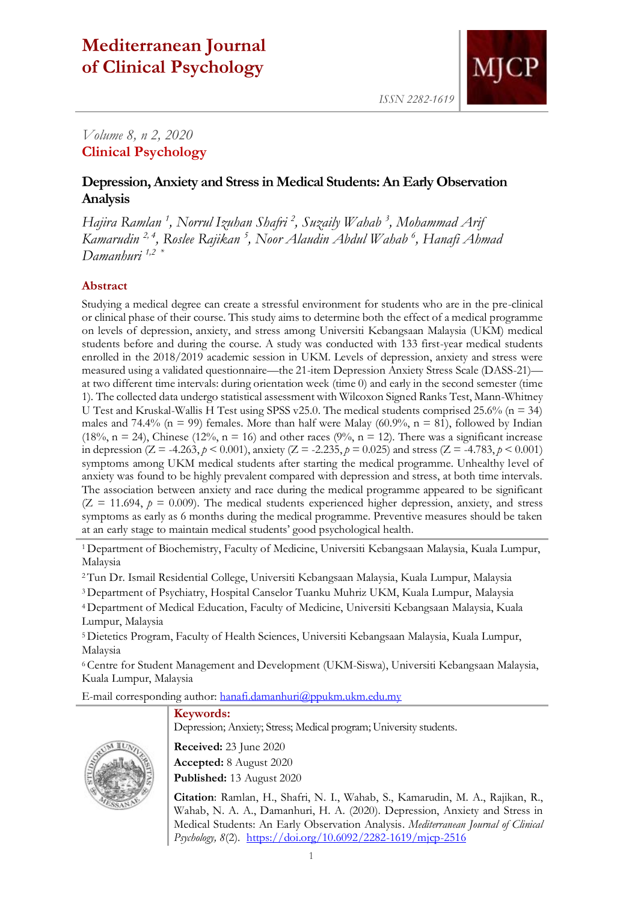# **Mediterranean Journal of Clinical Psychology**



*ISSN 2282-1619*

## *Volume 8, n 2, 2020* **Clinical Psychology**

## **Depression, Anxiety and Stress in Medical Students: An Early Observation Analysis**

*Hajira Ramlan <sup>1</sup> , Norrul Izuhan Shafri <sup>2</sup> , Suzaily Wahab <sup>3</sup> , Mohammad Arif Kamarudin 2, 4, Roslee Rajikan <sup>5</sup> , Noor Alaudin Abdul Wahab <sup>6</sup> , Hanafi Ahmad Damanhuri 1,2 \**

## **Abstract**

Studying a medical degree can create a stressful environment for students who are in the pre-clinical or clinical phase of their course. This study aims to determine both the effect of a medical programme on levels of depression, anxiety, and stress among Universiti Kebangsaan Malaysia (UKM) medical students before and during the course. A study was conducted with 133 first-year medical students enrolled in the 2018/2019 academic session in UKM. Levels of depression, anxiety and stress were measured using a validated questionnaire—the 21-item Depression Anxiety Stress Scale (DASS-21) at two different time intervals: during orientation week (time 0) and early in the second semester (time 1). The collected data undergo statistical assessment with Wilcoxon Signed Ranks Test, Mann-Whitney U Test and Kruskal-Wallis H Test using SPSS v25.0. The medical students comprised 25.6% ( $n = 34$ ) males and 74.4% (n = 99) females. More than half were Malay (60.9%, n = 81), followed by Indian (18%,  $n = 24$ ), Chinese (12%,  $n = 16$ ) and other races (9%,  $n = 12$ ). There was a significant increase in depression (Z = -4.263,  $p < 0.001$ ), anxiety (Z = -2.235,  $p = 0.025$ ) and stress (Z = -4.783,  $p < 0.001$ ) symptoms among UKM medical students after starting the medical programme. Unhealthy level of anxiety was found to be highly prevalent compared with depression and stress, at both time intervals. The association between anxiety and race during the medical programme appeared to be significant  $(Z = 11.694, p = 0.009)$ . The medical students experienced higher depression, anxiety, and stress symptoms as early as 6 months during the medical programme. Preventive measures should be taken at an early stage to maintain medical students' good psychological health.

<sup>1</sup>Department of Biochemistry, Faculty of Medicine, Universiti Kebangsaan Malaysia, Kuala Lumpur, Malaysia

<sup>2</sup>Tun Dr. Ismail Residential College, Universiti Kebangsaan Malaysia, Kuala Lumpur, Malaysia

<sup>3</sup>Department of Psychiatry, Hospital Canselor Tuanku Muhriz UKM, Kuala Lumpur, Malaysia

<sup>4</sup>Department of Medical Education, Faculty of Medicine, Universiti Kebangsaan Malaysia, Kuala Lumpur, Malaysia

<sup>5</sup>Dietetics Program, Faculty of Health Sciences, Universiti Kebangsaan Malaysia, Kuala Lumpur, Malaysia

<sup>6</sup>Centre for Student Management and Development (UKM-Siswa), Universiti Kebangsaan Malaysia, Kuala Lumpur, Malaysia

E-mail corresponding author: [hanafi.damanhuri@ppukm.ukm.edu.my](mailto:hanafi.damanhuri@ppukm.ukm.edu.my)

## **Keywords:**

Depression; Anxiety; Stress; Medical program; University students.



**Received:** 23 June 2020 **Accepted:** 8 August 2020 **Published:** 13 August 2020

**Citation**: Ramlan, H., Shafri, N. I., Wahab, S., Kamarudin, M. A., Rajikan, R., Wahab, N. A. A., Damanhuri, H. A. (2020). Depression, Anxiety and Stress in Medical Students: An Early Observation Analysis. *Mediterranean Journal of Clinical Psychology, 8*(2).<https://doi.org/10.6092/2282-1619/mjcp-2516>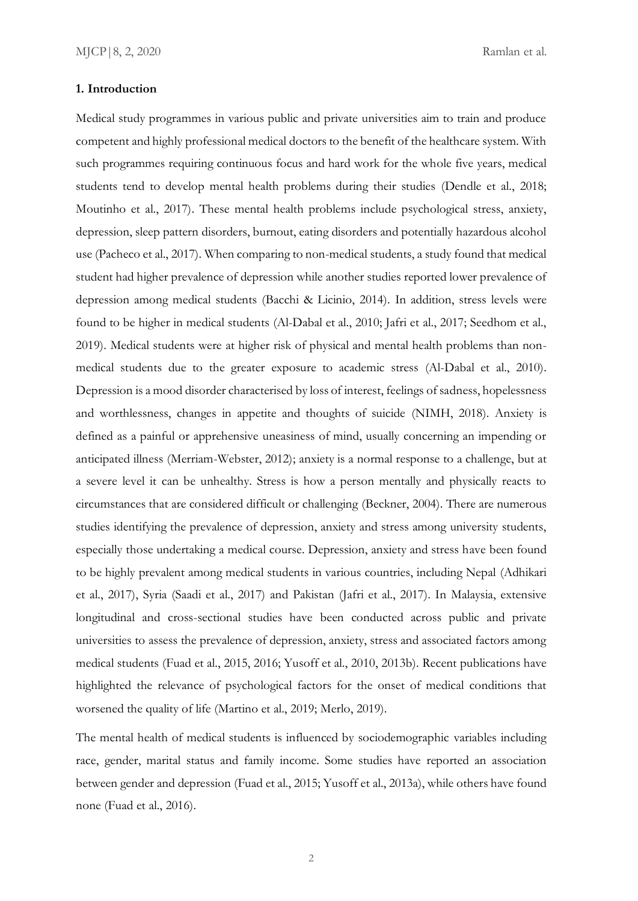#### **1. Introduction**

Medical study programmes in various public and private universities aim to train and produce competent and highly professional medical doctors to the benefit of the healthcare system. With such programmes requiring continuous focus and hard work for the whole five years, medical students tend to develop mental health problems during their studies (Dendle et al., 2018; Moutinho et al., 2017). These mental health problems include psychological stress, anxiety, depression, sleep pattern disorders, burnout, eating disorders and potentially hazardous alcohol use (Pacheco et al., 2017). When comparing to non-medical students, a study found that medical student had higher prevalence of depression while another studies reported lower prevalence of depression among medical students (Bacchi & Licinio, 2014). In addition, stress levels were found to be higher in medical students (Al-Dabal et al., 2010; Jafri et al., 2017; Seedhom et al., 2019). Medical students were at higher risk of physical and mental health problems than nonmedical students due to the greater exposure to academic stress (Al-Dabal et al., 2010). Depression is a mood disorder characterised by loss of interest, feelings of sadness, hopelessness and worthlessness, changes in appetite and thoughts of suicide (NIMH, 2018). Anxiety is defined as a painful or apprehensive uneasiness of mind, usually concerning an impending or anticipated illness (Merriam-Webster, 2012); anxiety is a normal response to a challenge, but at a severe level it can be unhealthy. Stress is how a person mentally and physically reacts to circumstances that are considered difficult or challenging (Beckner, 2004). There are numerous studies identifying the prevalence of depression, anxiety and stress among university students, especially those undertaking a medical course. Depression, anxiety and stress have been found to be highly prevalent among medical students in various countries, including Nepal (Adhikari et al., 2017), Syria (Saadi et al., 2017) and Pakistan (Jafri et al., 2017). In Malaysia, extensive longitudinal and cross-sectional studies have been conducted across public and private universities to assess the prevalence of depression, anxiety, stress and associated factors among medical students (Fuad et al., 2015, 2016; Yusoff et al., 2010, 2013b). Recent publications have highlighted the relevance of psychological factors for the onset of medical conditions that worsened the quality of life (Martino et al., 2019; Merlo, 2019).

The mental health of medical students is influenced by sociodemographic variables including race, gender, marital status and family income. Some studies have reported an association between gender and depression (Fuad et al., 2015; Yusoff et al., 2013a), while others have found none (Fuad et al., 2016).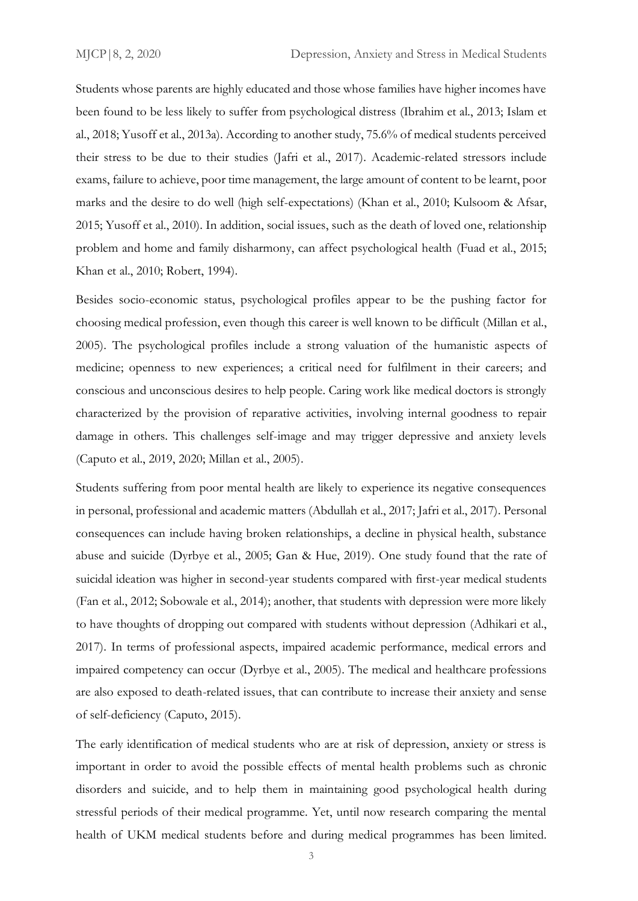Students whose parents are highly educated and those whose families have higher incomes have been found to be less likely to suffer from psychological distress (Ibrahim et al., 2013; Islam et al., 2018; Yusoff et al., 2013a). According to another study, 75.6% of medical students perceived their stress to be due to their studies (Jafri et al., 2017). Academic-related stressors include exams, failure to achieve, poor time management, the large amount of content to be learnt, poor marks and the desire to do well (high self-expectations) (Khan et al., 2010; Kulsoom & Afsar, 2015; Yusoff et al., 2010). In addition, social issues, such as the death of loved one, relationship problem and home and family disharmony, can affect psychological health (Fuad et al., 2015; Khan et al., 2010; Robert, 1994).

Besides socio-economic status, psychological profiles appear to be the pushing factor for choosing medical profession, even though this career is well known to be difficult (Millan et al., 2005). The psychological profiles include a strong valuation of the humanistic aspects of medicine; openness to new experiences; a critical need for fulfilment in their careers; and conscious and unconscious desires to help people. Caring work like medical doctors is strongly characterized by the provision of reparative activities, involving internal goodness to repair damage in others. This challenges self-image and may trigger depressive and anxiety levels (Caputo et al., 2019, 2020; Millan et al., 2005).

Students suffering from poor mental health are likely to experience its negative consequences in personal, professional and academic matters (Abdullah et al., 2017; Jafri et al., 2017). Personal consequences can include having broken relationships, a decline in physical health, substance abuse and suicide (Dyrbye et al., 2005; Gan & Hue, 2019). One study found that the rate of suicidal ideation was higher in second-year students compared with first-year medical students (Fan et al., 2012; Sobowale et al., 2014); another, that students with depression were more likely to have thoughts of dropping out compared with students without depression (Adhikari et al., 2017). In terms of professional aspects, impaired academic performance, medical errors and impaired competency can occur (Dyrbye et al., 2005). The medical and healthcare professions are also exposed to death-related issues, that can contribute to increase their anxiety and sense of self-deficiency (Caputo, 2015).

The early identification of medical students who are at risk of depression, anxiety or stress is important in order to avoid the possible effects of mental health problems such as chronic disorders and suicide, and to help them in maintaining good psychological health during stressful periods of their medical programme. Yet, until now research comparing the mental health of UKM medical students before and during medical programmes has been limited.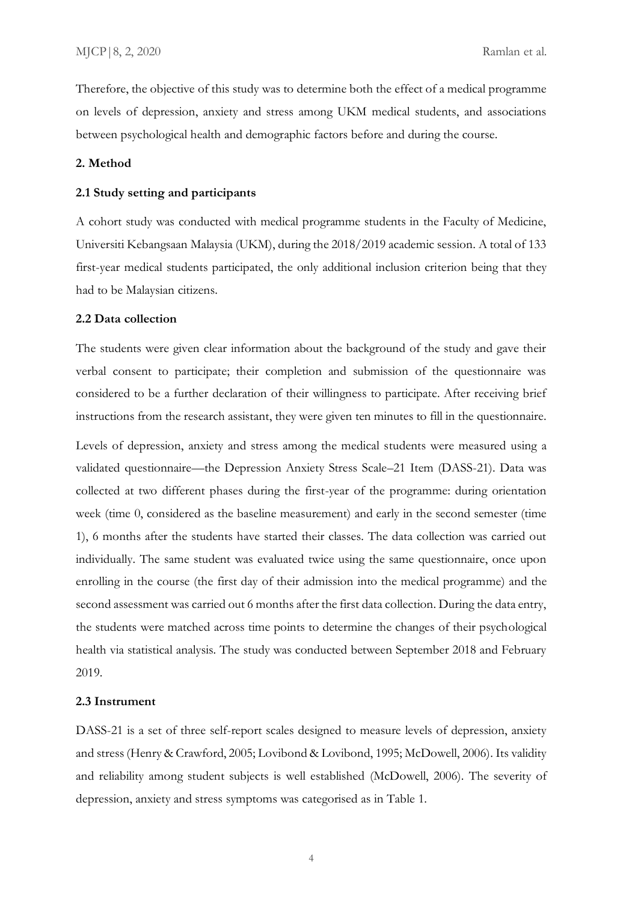Therefore, the objective of this study was to determine both the effect of a medical programme on levels of depression, anxiety and stress among UKM medical students, and associations between psychological health and demographic factors before and during the course.

#### **2. Method**

#### **2.1 Study setting and participants**

A cohort study was conducted with medical programme students in the Faculty of Medicine, Universiti Kebangsaan Malaysia (UKM), during the 2018/2019 academic session. A total of 133 first-year medical students participated, the only additional inclusion criterion being that they had to be Malaysian citizens.

#### **2.2 Data collection**

The students were given clear information about the background of the study and gave their verbal consent to participate; their completion and submission of the questionnaire was considered to be a further declaration of their willingness to participate. After receiving brief instructions from the research assistant, they were given ten minutes to fill in the questionnaire.

Levels of depression, anxiety and stress among the medical students were measured using a validated questionnaire—the Depression Anxiety Stress Scale–21 Item (DASS-21). Data was collected at two different phases during the first-year of the programme: during orientation week (time 0, considered as the baseline measurement) and early in the second semester (time 1), 6 months after the students have started their classes. The data collection was carried out individually. The same student was evaluated twice using the same questionnaire, once upon enrolling in the course (the first day of their admission into the medical programme) and the second assessment was carried out 6 months after the first data collection. During the data entry, the students were matched across time points to determine the changes of their psychological health via statistical analysis. The study was conducted between September 2018 and February 2019.

#### **2.3 Instrument**

DASS-21 is a set of three self-report scales designed to measure levels of depression, anxiety and stress (Henry & Crawford, 2005; Lovibond & Lovibond, 1995; McDowell, 2006). Its validity and reliability among student subjects is well established (McDowell, 2006). The severity of depression, anxiety and stress symptoms was categorised as in Table 1.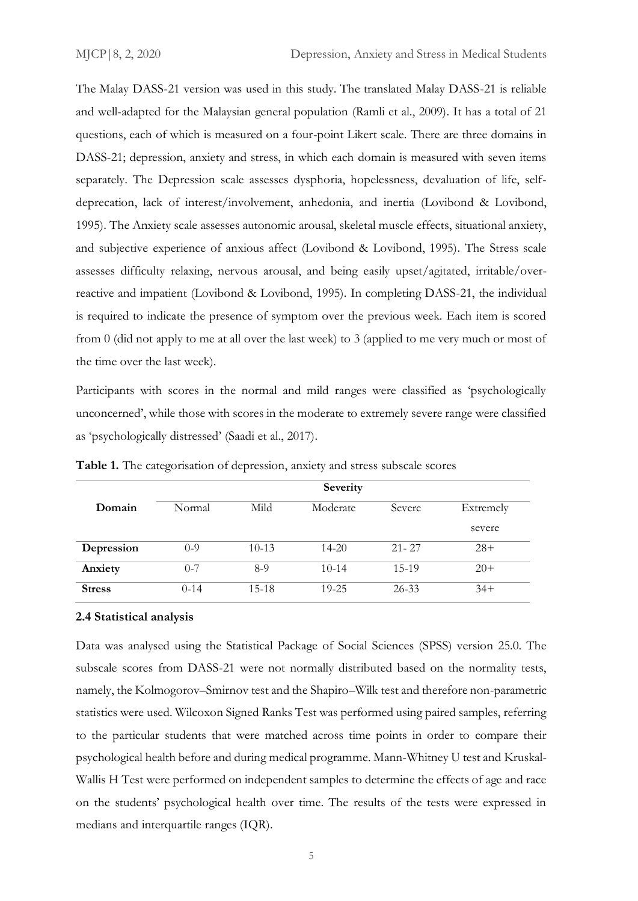The Malay DASS-21 version was used in this study. The translated Malay DASS-21 is reliable and well-adapted for the Malaysian general population (Ramli et al., 2009). It has a total of 21 questions, each of which is measured on a four-point Likert scale. There are three domains in DASS-21; depression, anxiety and stress, in which each domain is measured with seven items separately. The Depression scale assesses dysphoria, hopelessness, devaluation of life, selfdeprecation, lack of interest/involvement, anhedonia, and inertia (Lovibond & Lovibond, 1995). The Anxiety scale assesses autonomic arousal, skeletal muscle effects, situational anxiety, and subjective experience of anxious affect (Lovibond & Lovibond, 1995). The Stress scale assesses difficulty relaxing, nervous arousal, and being easily upset/agitated, irritable/overreactive and impatient (Lovibond & Lovibond, 1995). In completing DASS-21, the individual is required to indicate the presence of symptom over the previous week. Each item is scored from 0 (did not apply to me at all over the last week) to 3 (applied to me very much or most of the time over the last week).

Participants with scores in the normal and mild ranges were classified as 'psychologically unconcerned', while those with scores in the moderate to extremely severe range were classified as 'psychologically distressed' (Saadi et al., 2017).

|               |         |         | Severity  |           |           |  |
|---------------|---------|---------|-----------|-----------|-----------|--|
| Domain        | Normal  | Mild    | Moderate  | Severe    | Extremely |  |
|               |         |         |           |           | severe    |  |
| Depression    | $0 - 9$ | $10-13$ | $14 - 20$ | $21 - 27$ | $28+$     |  |
| Anxiety       | $0 - 7$ | $8-9$   | $10-14$   | $15-19$   | $20+$     |  |
| <b>Stress</b> | $0-14$  | $15-18$ | $19 - 25$ | $26 - 33$ | $34+$     |  |

**Table 1.** The categorisation of depression, anxiety and stress subscale scores

#### **2.4 Statistical analysis**

Data was analysed using the Statistical Package of Social Sciences (SPSS) version 25.0. The subscale scores from DASS-21 were not normally distributed based on the normality tests, namely, the Kolmogorov–Smirnov test and the Shapiro–Wilk test and therefore non-parametric statistics were used. Wilcoxon Signed Ranks Test was performed using paired samples, referring to the particular students that were matched across time points in order to compare their psychological health before and during medical programme. Mann-Whitney U test and Kruskal-Wallis H Test were performed on independent samples to determine the effects of age and race on the students' psychological health over time. The results of the tests were expressed in medians and interquartile ranges (IQR).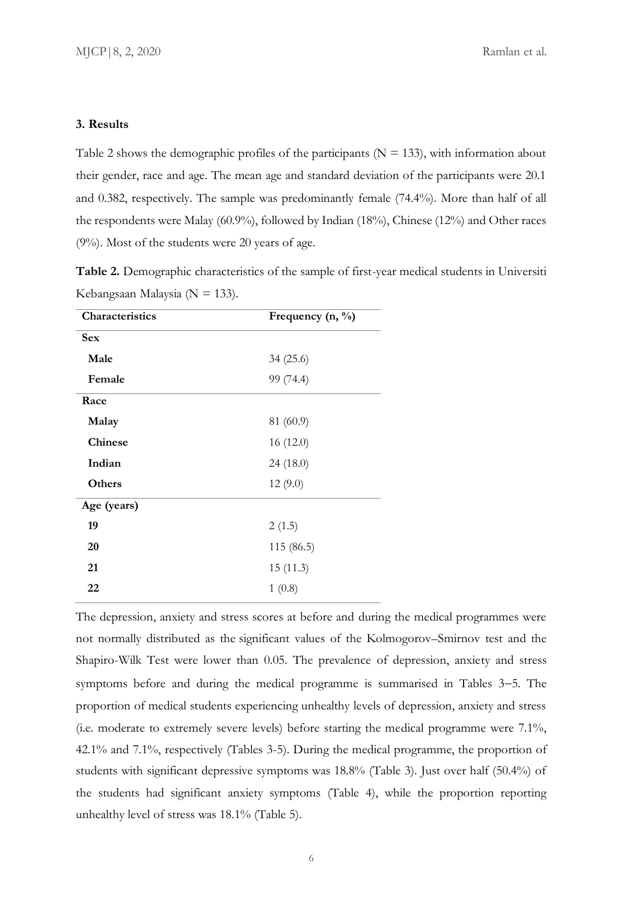#### **3. Results**

Table 2 shows the demographic profiles of the participants ( $N = 133$ ), with information about their gender, race and age. The mean age and standard deviation of the participants were 20.1 and 0.382, respectively. The sample was predominantly female (74.4%). More than half of all the respondents were Malay (60.9%), followed by Indian (18%), Chinese (12%) and Other races (9%). Most of the students were 20 years of age.

**Table 2.** Demographic characteristics of the sample of first-year medical students in Universiti Kebangsaan Malaysia (N = 133).

| Characteristics | Frequency (n, %) |  |  |
|-----------------|------------------|--|--|
| <b>Sex</b>      |                  |  |  |
| Male            | 34(25.6)         |  |  |
| Female          | 99 (74.4)        |  |  |
| Race            |                  |  |  |
| Malay           | 81(60.9)         |  |  |
| <b>Chinese</b>  | 16(12.0)         |  |  |
| Indian          | 24(18.0)         |  |  |
| <b>Others</b>   | 12(9.0)          |  |  |
| Age (years)     |                  |  |  |
| 19              | 2(1.5)           |  |  |
| 20              | 115 (86.5)       |  |  |
| 21              | 15(11.3)         |  |  |
| 22              | 1(0.8)           |  |  |

The depression, anxiety and stress scores at before and during the medical programmes were not normally distributed as the significant values of the Kolmogorov–Smirnov test and the Shapiro-Wilk Test were lower than 0.05. The prevalence of depression, anxiety and stress symptoms before and during the medical programme is summarised in Tables 3−5. The proportion of medical students experiencing unhealthy levels of depression, anxiety and stress (i.e. moderate to extremely severe levels) before starting the medical programme were 7.1%, 42.1% and 7.1%, respectively (Tables 3-5). During the medical programme, the proportion of students with significant depressive symptoms was 18.8% (Table 3). Just over half (50.4%) of the students had significant anxiety symptoms (Table 4), while the proportion reporting unhealthy level of stress was 18.1% (Table 5).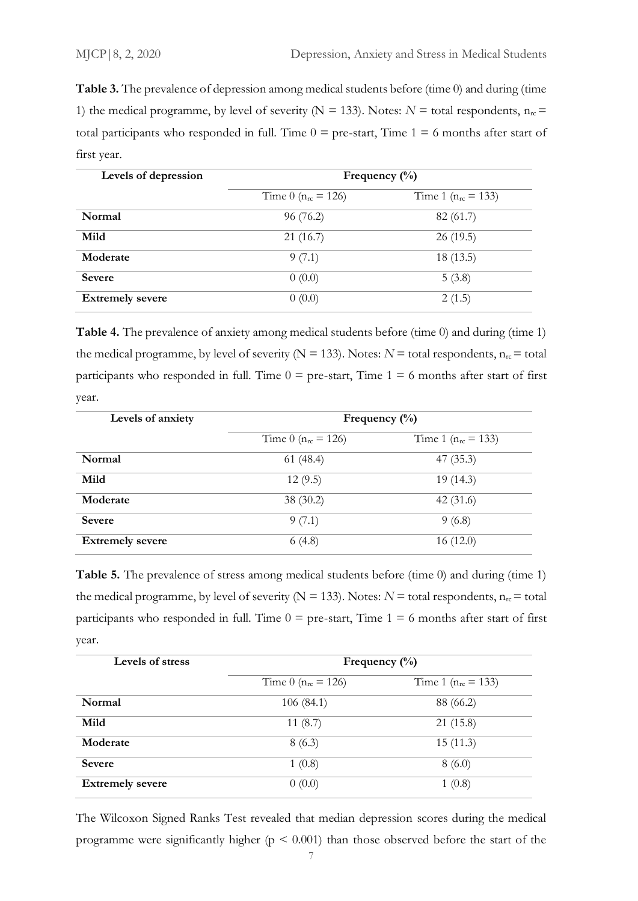**Table 3.** The prevalence of depression among medical students before (time 0) and during (time 1) the medical programme, by level of severity ( $N = 133$ ). Notes:  $N =$  total respondents,  $n_{rc} =$ total participants who responded in full. Time  $0 =$  pre-start, Time  $1 = 6$  months after start of first year.

| Levels of depression    | Frequency $(\% )$        |                          |  |  |
|-------------------------|--------------------------|--------------------------|--|--|
|                         | Time 0 ( $n_{rc}$ = 126) | Time 1 ( $n_{rc}$ = 133) |  |  |
| Normal                  | 96(76.2)                 | 82 (61.7)                |  |  |
| Mild                    | 21(16.7)                 | 26(19.5)                 |  |  |
| Moderate                | 9(7.1)                   | 18 (13.5)                |  |  |
| <b>Severe</b>           | 0(0.0)                   | 5(3.8)                   |  |  |
| <b>Extremely severe</b> | 0(0.0)                   | 2(1.5)                   |  |  |

**Table 4.** The prevalence of anxiety among medical students before (time 0) and during (time 1) the medical programme, by level of severity ( $N = 133$ ). Notes:  $N =$  total respondents,  $n_{rc} =$  total participants who responded in full. Time  $0 =$  pre-start, Time  $1 = 6$  months after start of first year.

| Levels of anxiety       | Frequency $(\%)$         |                          |  |  |
|-------------------------|--------------------------|--------------------------|--|--|
|                         | Time 0 ( $n_{rc}$ = 126) | Time 1 ( $n_{rc}$ = 133) |  |  |
| Normal                  | 61(48.4)                 | 47 (35.3)                |  |  |
| Mild                    | 12(9.5)                  | 19(14.3)                 |  |  |
| Moderate                | 38(30.2)                 | 42(31.6)                 |  |  |
| <b>Severe</b>           | 9(7.1)                   | 9(6.8)                   |  |  |
| <b>Extremely severe</b> | 6(4.8)                   | 16(12.0)                 |  |  |

Table 5. The prevalence of stress among medical students before (time 0) and during (time 1) the medical programme, by level of severity ( $N = 133$ ). Notes:  $N =$  total respondents,  $n_{rc} =$  total participants who responded in full. Time  $0 =$  pre-start, Time  $1 = 6$  months after start of first year.

| Levels of stress        | Frequency $(\%)$          |                          |  |  |
|-------------------------|---------------------------|--------------------------|--|--|
|                         | Time 0 ( $n_{rc} = 126$ ) | Time 1 ( $n_{rc}$ = 133) |  |  |
| Normal                  | 106(84.1)                 | 88 (66.2)                |  |  |
| Mild                    | 11(8.7)                   | 21(15.8)                 |  |  |
| Moderate                | 8(6.3)                    | 15(11.3)                 |  |  |
| <b>Severe</b>           | 1(0.8)                    | 8(6.0)                   |  |  |
| <b>Extremely severe</b> | 0(0.0)                    | 1(0.8)                   |  |  |

The Wilcoxon Signed Ranks Test revealed that median depression scores during the medical programme were significantly higher ( $p \le 0.001$ ) than those observed before the start of the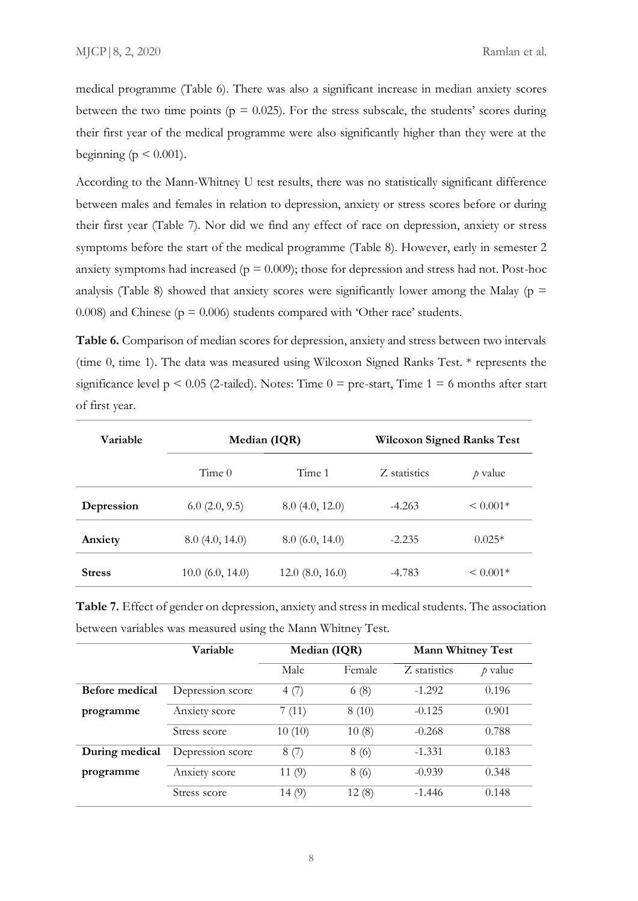medical programme (Table 6). There was also a significant increase in median anxiety scores between the two time points ( $p = 0.025$ ). For the stress subscale, the students' scores during their first year of the medical programme were also significantly higher than they were at the beginning ( $p \leq 0.001$ ).

According to the Mann-Whitney U test results, there was no statistically significant difference between males and females in relation to depression, anxiety or stress scores before or during their first year (Table 7). Nor did we find any effect of race on depression, anxiety or stress symptoms before the start of the medical programme (Table 8). However, early in semester 2 anxiety symptoms had increased ( $p = 0.009$ ); those for depression and stress had not. Post-hoc analysis (Table 8) showed that anxiety scores were significantly lower among the Malay ( $p =$ 0.008) and Chinese ( $p = 0.006$ ) students compared with 'Other race' students.

**Table 6.** Comparison of median scores for depression, anxiety and stress between two intervals (time 0, time 1). The data was measured using Wilcoxon Signed Ranks Test. \* represents the significance level  $p \le 0.05$  (2-tailed). Notes: Time  $0 =$  pre-start, Time  $1 = 6$  months after start of first year.

| Variable      | Median (IQR)      |                     | <b>Wilcoxon Signed Ranks Test</b> |               |
|---------------|-------------------|---------------------|-----------------------------------|---------------|
|               | Time <sub>0</sub> | Time 1              | Z statistics                      | $\rho$ value  |
| Depression    | 6.0(2.0, 9.5)     | 8.0(4.0, 12.0)      | $-4.263$                          | $\leq 0.001*$ |
| Anxiety       | 8.0(4.0, 14.0)    | 8.0(6.0, 14.0)      | $-2.235$                          | $0.025*$      |
| <b>Stress</b> | 10.0 (6.0, 14.0)  | $12.0\ (8.0, 16.0)$ | $-4.783$                          | $\leq 0.001*$ |

**Table 7.** Effect of gender on depression, anxiety and stress in medical students. The association between variables was measured using the Mann Whitney Test.

|                | Variable         | Median (IQR) |        | <b>Mann Whitney Test</b> |           |
|----------------|------------------|--------------|--------|--------------------------|-----------|
|                |                  | Male         | Female | Z statistics             | $p$ value |
| Before medical | Depression score | 4(7)         | 6(8)   | $-1.292$                 | 0.196     |
| programme      | Anxiety score    | 7(11)        | 8(10)  | $-0.125$                 | 0.901     |
|                | Stress score     | 10(10)       | 10(8)  | $-0.268$                 | 0.788     |
| During medical | Depression score | 8(7)         | 8(6)   | $-1.331$                 | 0.183     |
| programme      | Anxiety score    | 11(9)        | 8(6)   | $-0.939$                 | 0.348     |
|                | Stress score     | 14(9)        | 12(8)  | $-1.446$                 | 0.148     |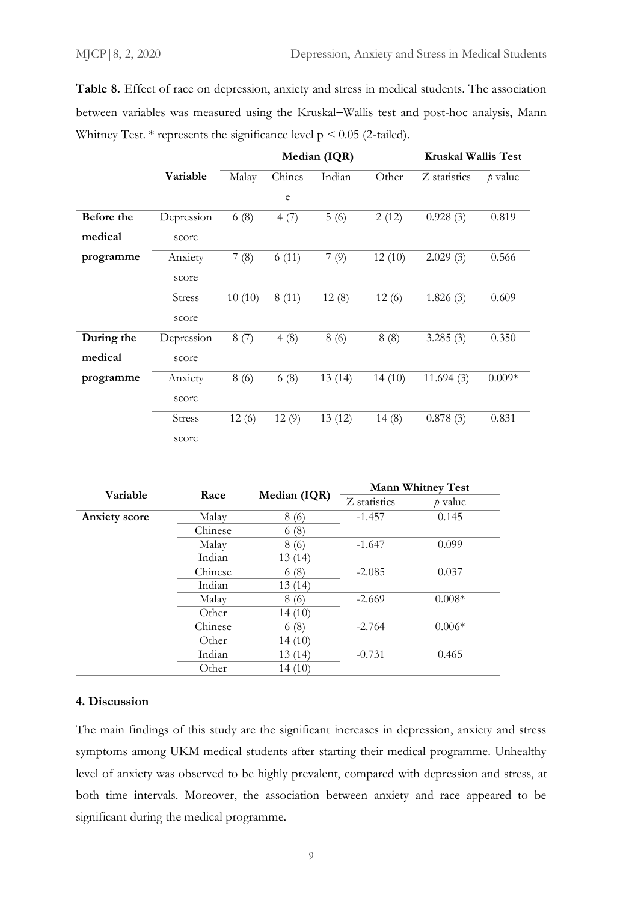**Table 8.** Effect of race on depression, anxiety and stress in medical students. The association between variables was measured using the Kruskal−Wallis test and post-hoc analysis, Mann Whitney Test.  $*$  represents the significance level  $p \le 0.05$  (2-tailed).

|            |               | Median (IQR) |        |        |        | <b>Kruskal Wallis Test</b> |           |
|------------|---------------|--------------|--------|--------|--------|----------------------------|-----------|
|            | Variable      | Malay        | Chines | Indian | Other  | Z statistics               | $p$ value |
|            |               |              | e      |        |        |                            |           |
| Before the | Depression    | 6(8)         | 4(7)   | 5(6)   | 2(12)  | 0.928(3)                   | 0.819     |
| medical    | score         |              |        |        |        |                            |           |
| programme  | Anxiety       | 7(8)         | 6(11)  | 7(9)   | 12(10) | 2.029(3)                   | 0.566     |
|            | score         |              |        |        |        |                            |           |
|            | <b>Stress</b> | 10(10)       | 8(11)  | 12(8)  | 12(6)  | 1.826(3)                   | 0.609     |
|            | score         |              |        |        |        |                            |           |
| During the | Depression    | 8(7)         | 4(8)   | 8(6)   | 8(8)   | 3.285(3)                   | 0.350     |
| medical    | score         |              |        |        |        |                            |           |
| programme  | Anxiety       | 8(6)         | 6(8)   | 13(14) | 14(10) | 11.694(3)                  | $0.009*$  |
|            | score         |              |        |        |        |                            |           |
|            | <b>Stress</b> | 12(6)        | 12(9)  | 13(12) | 14(8)  | 0.878(3)                   | 0.831     |
|            | score         |              |        |        |        |                            |           |

|                      |         | Median (IQR) | <b>Mann Whitney Test</b> |           |  |
|----------------------|---------|--------------|--------------------------|-----------|--|
| Variable             | Race    |              | Z statistics             | $p$ value |  |
| <b>Anxiety</b> score | Malay   | 8(6)         | $-1.457$                 | 0.145     |  |
|                      | Chinese | 6(8)         |                          |           |  |
|                      | Malay   | 8(6)         | $-1.647$                 | 0.099     |  |
|                      | Indian  | 13(14)       |                          |           |  |
|                      | Chinese | 6(8)         | $-2.085$                 | 0.037     |  |
|                      | Indian  | 13(14)       |                          |           |  |
|                      | Malay   | 8 (6)        | $-2.669$                 | $0.008*$  |  |
|                      | Other   | 14(10)       |                          |           |  |
|                      | Chinese | 6(8)         | $-2.764$                 | $0.006*$  |  |
|                      | Other   | 14(10)       |                          |           |  |
|                      | Indian  | 13(14)       | $-0.731$                 | 0.465     |  |
|                      | Other   | 14(10)       |                          |           |  |

### **4. Discussion**

The main findings of this study are the significant increases in depression, anxiety and stress symptoms among UKM medical students after starting their medical programme. Unhealthy level of anxiety was observed to be highly prevalent, compared with depression and stress, at both time intervals. Moreover, the association between anxiety and race appeared to be significant during the medical programme.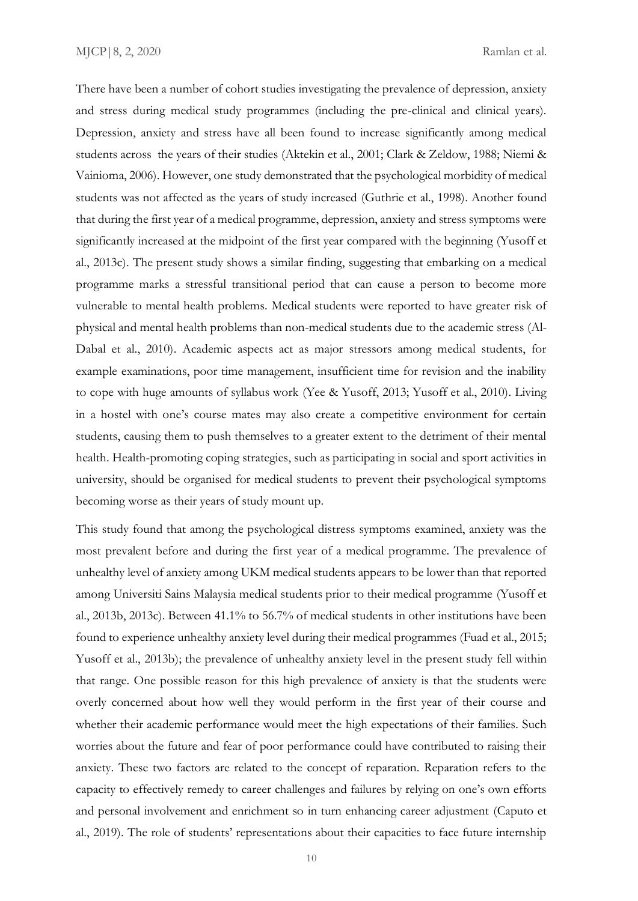There have been a number of cohort studies investigating the prevalence of depression, anxiety and stress during medical study programmes (including the pre-clinical and clinical years). Depression, anxiety and stress have all been found to increase significantly among medical students across the years of their studies (Aktekin et al., 2001; Clark & Zeldow, 1988; Niemi & Vainioma, 2006). However, one study demonstrated that the psychological morbidity of medical students was not affected as the years of study increased (Guthrie et al., 1998). Another found that during the first year of a medical programme, depression, anxiety and stress symptoms were significantly increased at the midpoint of the first year compared with the beginning (Yusoff et al., 2013c). The present study shows a similar finding, suggesting that embarking on a medical programme marks a stressful transitional period that can cause a person to become more vulnerable to mental health problems. Medical students were reported to have greater risk of physical and mental health problems than non-medical students due to the academic stress (Al-Dabal et al., 2010). Academic aspects act as major stressors among medical students, for example examinations, poor time management, insufficient time for revision and the inability to cope with huge amounts of syllabus work (Yee & Yusoff, 2013; Yusoff et al., 2010). Living in a hostel with one's course mates may also create a competitive environment for certain students, causing them to push themselves to a greater extent to the detriment of their mental health. Health-promoting coping strategies, such as participating in social and sport activities in university, should be organised for medical students to prevent their psychological symptoms becoming worse as their years of study mount up.

This study found that among the psychological distress symptoms examined, anxiety was the most prevalent before and during the first year of a medical programme. The prevalence of unhealthy level of anxiety among UKM medical students appears to be lower than that reported among Universiti Sains Malaysia medical students prior to their medical programme (Yusoff et al., 2013b, 2013c). Between 41.1% to 56.7% of medical students in other institutions have been found to experience unhealthy anxiety level during their medical programmes (Fuad et al., 2015; Yusoff et al., 2013b); the prevalence of unhealthy anxiety level in the present study fell within that range. One possible reason for this high prevalence of anxiety is that the students were overly concerned about how well they would perform in the first year of their course and whether their academic performance would meet the high expectations of their families. Such worries about the future and fear of poor performance could have contributed to raising their anxiety. These two factors are related to the concept of reparation. Reparation refers to the capacity to effectively remedy to career challenges and failures by relying on one's own efforts and personal involvement and enrichment so in turn enhancing career adjustment (Caputo et al., 2019). The role of students' representations about their capacities to face future internship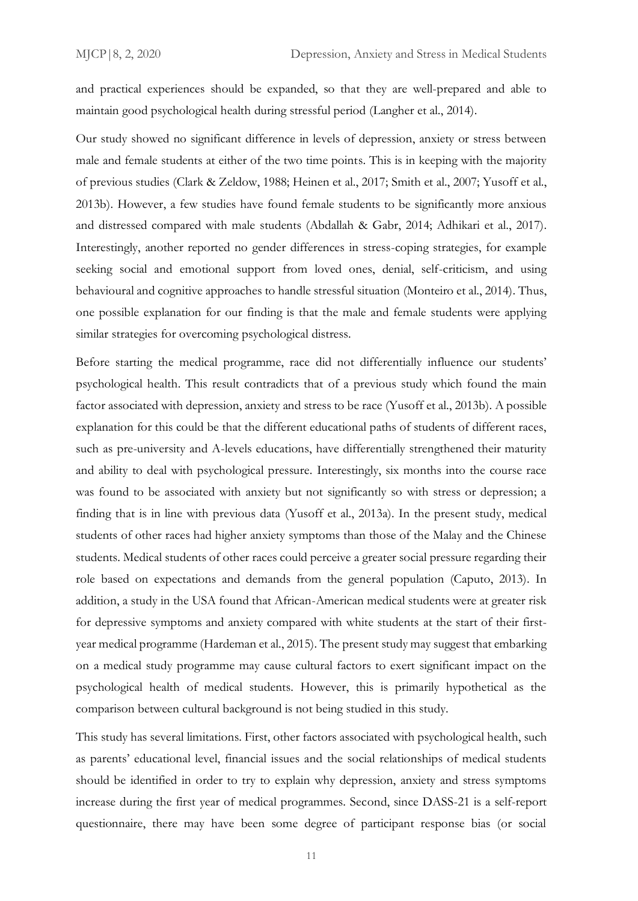and practical experiences should be expanded, so that they are well-prepared and able to maintain good psychological health during stressful period (Langher et al., 2014).

Our study showed no significant difference in levels of depression, anxiety or stress between male and female students at either of the two time points. This is in keeping with the majority of previous studies (Clark & Zeldow, 1988; Heinen et al., 2017; Smith et al., 2007; Yusoff et al., 2013b). However, a few studies have found female students to be significantly more anxious and distressed compared with male students (Abdallah & Gabr, 2014; Adhikari et al., 2017). Interestingly, another reported no gender differences in stress-coping strategies, for example seeking social and emotional support from loved ones, denial, self-criticism, and using behavioural and cognitive approaches to handle stressful situation (Monteiro et al., 2014). Thus, one possible explanation for our finding is that the male and female students were applying similar strategies for overcoming psychological distress.

Before starting the medical programme, race did not differentially influence our students' psychological health. This result contradicts that of a previous study which found the main factor associated with depression, anxiety and stress to be race (Yusoff et al., 2013b). A possible explanation for this could be that the different educational paths of students of different races, such as pre-university and A-levels educations, have differentially strengthened their maturity and ability to deal with psychological pressure. Interestingly, six months into the course race was found to be associated with anxiety but not significantly so with stress or depression; a finding that is in line with previous data (Yusoff et al., 2013a). In the present study, medical students of other races had higher anxiety symptoms than those of the Malay and the Chinese students. Medical students of other races could perceive a greater social pressure regarding their role based on expectations and demands from the general population (Caputo, 2013). In addition, a study in the USA found that African-American medical students were at greater risk for depressive symptoms and anxiety compared with white students at the start of their firstyear medical programme (Hardeman et al., 2015). The present study may suggest that embarking on a medical study programme may cause cultural factors to exert significant impact on the psychological health of medical students. However, this is primarily hypothetical as the comparison between cultural background is not being studied in this study.

This study has several limitations. First, other factors associated with psychological health, such as parents' educational level, financial issues and the social relationships of medical students should be identified in order to try to explain why depression, anxiety and stress symptoms increase during the first year of medical programmes. Second, since DASS-21 is a self-report questionnaire, there may have been some degree of participant response bias (or social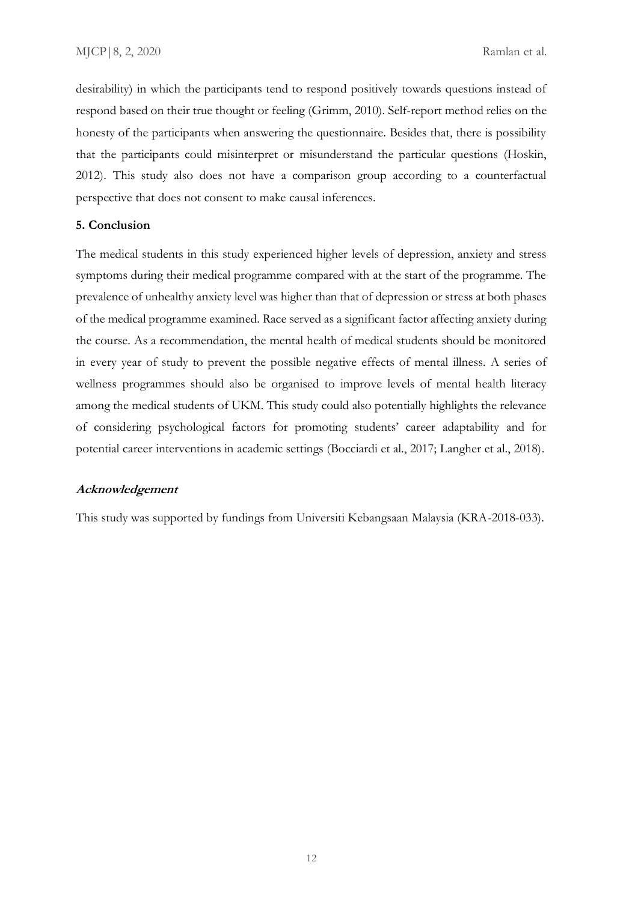desirability) in which the participants tend to respond positively towards questions instead of respond based on their true thought or feeling (Grimm, 2010). Self-report method relies on the honesty of the participants when answering the questionnaire. Besides that, there is possibility that the participants could misinterpret or misunderstand the particular questions (Hoskin, 2012). This study also does not have a comparison group according to a counterfactual perspective that does not consent to make causal inferences.

#### **5. Conclusion**

The medical students in this study experienced higher levels of depression, anxiety and stress symptoms during their medical programme compared with at the start of the programme. The prevalence of unhealthy anxiety level was higher than that of depression or stress at both phases of the medical programme examined. Race served as a significant factor affecting anxiety during the course. As a recommendation, the mental health of medical students should be monitored in every year of study to prevent the possible negative effects of mental illness. A series of wellness programmes should also be organised to improve levels of mental health literacy among the medical students of UKM. This study could also potentially highlights the relevance of considering psychological factors for promoting students' career adaptability and for potential career interventions in academic settings (Bocciardi et al., 2017; Langher et al., 2018).

### **Acknowledgement**

This study was supported by fundings from Universiti Kebangsaan Malaysia (KRA-2018-033).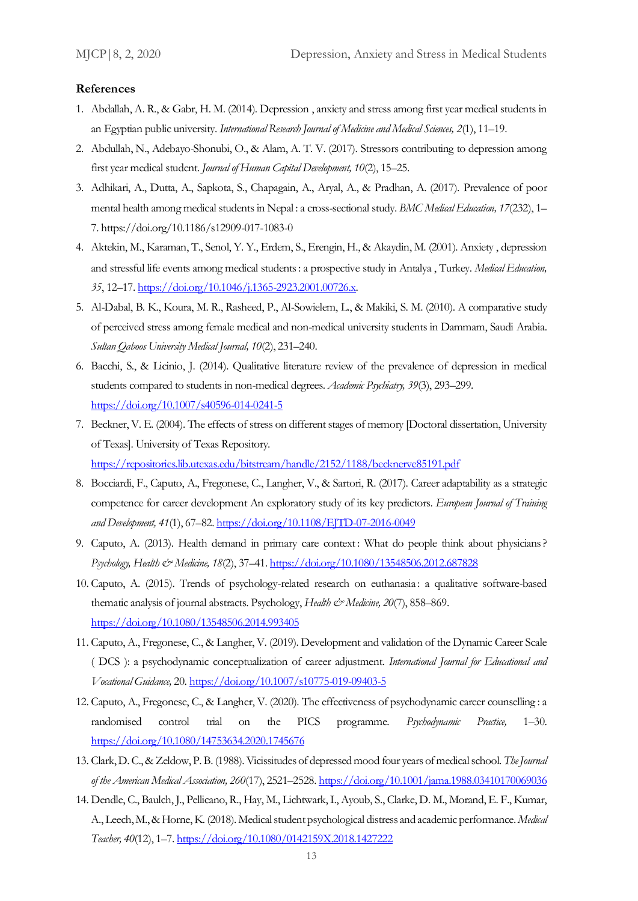#### **References**

- 1. Abdallah, A. R., & Gabr, H. M. (2014). Depression , anxiety and stress among first year medical students in an Egyptian public university. *International Research Journal of Medicine and Medical Sciences, 2*(1), 11–19.
- 2. Abdullah, N., Adebayo-Shonubi, O., & Alam, A. T. V. (2017). Stressors contributing to depression among first year medical student. *Journal of Human Capital Development, 10*(2), 15–25.
- 3. Adhikari, A., Dutta, A., Sapkota, S., Chapagain, A., Aryal, A., & Pradhan, A. (2017). Prevalence of poor mental health among medical students in Nepal : a cross-sectional study. *BMC Medical Education, 17*(232), 1– 7. https://doi.org/10.1186/s12909-017-1083-0
- 4. Aktekin, M., Karaman, T., Senol, Y. Y., Erdem, S., Erengin, H., & Akaydin, M. (2001). Anxiety , depression and stressful life events among medical students: a prospective study in Antalya , Turkey. *Medical Education, 35*, 12–17[. https://doi.org/10.1046/j.1365-2923.2001.00726.x.](https://doi.org/10.1046/j.1365-2923.2001.00726.x)
- 5. Al-Dabal, B. K., Koura, M. R., Rasheed, P., Al-Sowielem, L., & Makiki, S. M. (2010). A comparative study of perceived stress among female medical and non-medical university students in Dammam, Saudi Arabia. *Sultan Qaboos University Medical Journal, 10*(2), 231–240.
- 6. Bacchi, S., & Licinio, J. (2014). Qualitative literature review of the prevalence of depression in medical students compared to students in non-medical degrees. *Academic Psychiatry, 39*(3), 293–299. <https://doi.org/10.1007/s40596-014-0241-5>
- 7. Beckner, V. E. (2004). The effects of stress on different stages of memory [Doctoral dissertation, University of Texas]. University of Texas Repository. <https://repositories.lib.utexas.edu/bitstream/handle/2152/1188/becknerve85191.pdf>
- 8. Bocciardi, F., Caputo, A., Fregonese, C., Langher, V., & Sartori, R. (2017). Career adaptability as a strategic competence for career development An exploratory study of its key predictors. *European Journal of Training and Development, 41*(1), 67–82[. https://doi.org/10.1108/EJTD-07-2016-0049](https://doi.org/10.1108/EJTD-07-2016-0049)
- 9. Caputo, A. (2013). Health demand in primary care context: What do people think about physicians? *Psychology, Health & Medicine, 18*(2), 37–41.<https://doi.org/10.1080/13548506.2012.687828>
- 10. Caputo, A. (2015). Trends of psychology-related research on euthanasia : a qualitative software-based thematic analysis of journal abstracts. Psychology, *Health & Medicine*, 20(7), 858–869. <https://doi.org/10.1080/13548506.2014.993405>
- 11. Caputo, A., Fregonese, C., & Langher, V. (2019). Development and validation of the Dynamic Career Scale ( DCS ): a psychodynamic conceptualization of career adjustment. *International Journal for Educational and Vocational Guidance,* 20[. https://doi.org/10.1007/s10775-019-09403-5](https://doi.org/10.1007/s10775-019-09403-5)
- 12. Caputo, A., Fregonese, C., & Langher, V. (2020). The effectiveness of psychodynamic career counselling : a randomised control trial on the PICS programme. *Psychodynamic Practice,* 1–30. <https://doi.org/10.1080/14753634.2020.1745676>
- 13. Clark, D. C., & Zeldow, P. B. (1988). Vicissitudes of depressed mood four years of medical school. *The Journal of the American Medical Association, 260*(17), 2521–2528[. https://doi.org/10.1001/jama.1988.03410170069036](https://doi.org/10.1001/jama.1988.03410170069036)
- 14. Dendle, C., Baulch, J., Pellicano, R., Hay, M., Lichtwark, I., Ayoub, S., Clarke, D. M., Morand, E. F., Kumar, A., Leech, M., & Horne, K. (2018). Medical student psychological distress and academic performance. *Medical Teacher, 40*(12), 1–7[. https://doi.org/10.1080/0142159X.2018.1427222](https://doi.org/10.1080/0142159X.2018.1427222)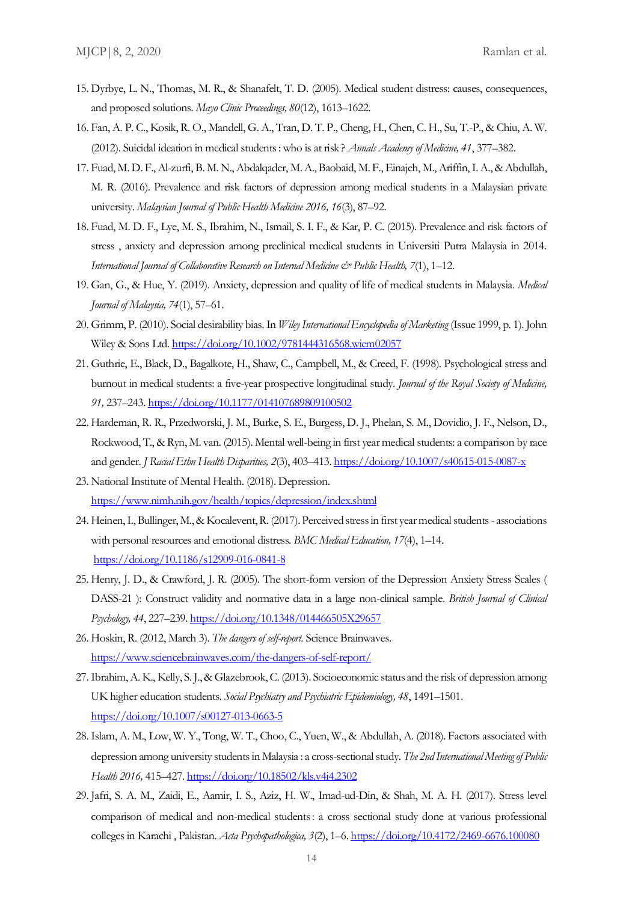- 15. Dyrbye, L. N., Thomas, M. R., & Shanafelt, T. D. (2005). Medical student distress: causes, consequences, and proposed solutions. *Mayo Clinic Proceedings, 80*(12), 1613–1622.
- 16. Fan, A. P. C., Kosik, R. O., Mandell, G. A., Tran, D. T. P., Cheng, H., Chen, C. H., Su, T.-P., & Chiu, A. W. (2012). Suicidal ideation in medical students: who is at risk ? *Annals Academy of Medicine, 41*, 377–382.
- 17. Fuad, M. D. F., Al-zurfi, B. M. N., Abdalqader, M. A., Baobaid, M. F., Einajeh, M., Ariffin, I. A., & Abdullah, M. R. (2016). Prevalence and risk factors of depression among medical students in a Malaysian private university. *Malaysian Journal of Public Health Medicine 2016, 16*(3), 87–92.
- 18. Fuad, M. D. F., Lye, M. S., Ibrahim, N., Ismail, S. I. F., & Kar, P. C. (2015). Prevalence and risk factors of stress , anxiety and depression among preclinical medical students in Universiti Putra Malaysia in 2014. *International Journal of Collaborative Research on Internal Medicine & Public Health, 7*(1), 1–12.
- 19. Gan, G., & Hue, Y. (2019). Anxiety, depression and quality of life of medical students in Malaysia. *Medical Journal of Malaysia, 74*(1), 57–61.
- 20. Grimm, P. (2010). Social desirability bias. In *Wiley International Encyclopedia of Marketing* (Issue 1999, p. 1). John Wiley & Sons Ltd[. https://doi.org/10.1002/9781444316568.wiem02057](https://doi.org/10.1002/9781444316568.wiem02057)
- 21. Guthrie, E., Black, D., Bagalkote, H., Shaw, C., Campbell, M., & Creed, F. (1998). Psychological stress and burnout in medical students: a five-year prospective longitudinal study. *Journal of the Royal Society of Medicine, 91,* 237–243[. https://doi.org/10.1177/014107689809100502](https://doi.org/10.1177/014107689809100502)
- 22. Hardeman, R. R., Przedworski, J. M., Burke, S. E., Burgess, D. J., Phelan, S. M., Dovidio, J. F., Nelson, D., Rockwood, T., & Ryn, M. van. (2015). Mental well-being in first year medical students: a comparison by race and gender. *J Racial Ethn Health Disparities, 2*(3), 403–413.<https://doi.org/10.1007/s40615-015-0087-x>
- 23. National Institute of Mental Health. (2018). Depression. <https://www.nimh.nih.gov/health/topics/depression/index.shtml>
- 24. Heinen, I., Bullinger, M., & Kocalevent, R. (2017). Perceived stress in first year medical students associations with personal resources and emotional distress. *BMC Medical Education, 17*(4), 1–14. <https://doi.org/10.1186/s12909-016-0841-8>
- 25. Henry, J. D., & Crawford, J. R. (2005). The short-form version of the Depression Anxiety Stress Scales ( DASS-21 ): Construct validity and normative data in a large non-clinical sample. *British Journal of Clinical Psychology, 44*, 227–239[. https://doi.org/10.1348/014466505X29657](https://doi.org/10.1348/014466505X29657)
- 26. Hoskin, R. (2012, March 3). *The dangers of self-report*. Science Brainwaves. <https://www.sciencebrainwaves.com/the-dangers-of-self-report/>
- 27.Ibrahim, A. K., Kelly, S. J., & Glazebrook, C. (2013). Socioeconomic status and the risk of depression among UK higher education students. *Social Psychiatry and Psychiatric Epidemiology, 48*, 1491–1501. <https://doi.org/10.1007/s00127-013-0663-5>
- 28.Islam, A. M., Low, W. Y., Tong, W. T., Choo, C., Yuen, W., & Abdullah, A. (2018). Factors associated with depression among university students in Malaysia : a cross-sectional study. *The 2nd International Meeting of Public Health 2016,* 415–427[. https://doi.org/10.18502/kls.v4i4.2302](https://doi.org/10.18502/kls.v4i4.2302)
- 29. Jafri, S. A. M., Zaidi, E., Aamir, I. S., Aziz, H. W., Imad-ud-Din, & Shah, M. A. H. (2017). Stress level comparison of medical and non-medical students: a cross sectional study done at various professional colleges in Karachi , Pakistan. *Acta Psychopathologica, 3*(2), 1–6[. https://doi.org/10.4172/2469-6676.100080](https://doi.org/10.4172/2469-6676.100080)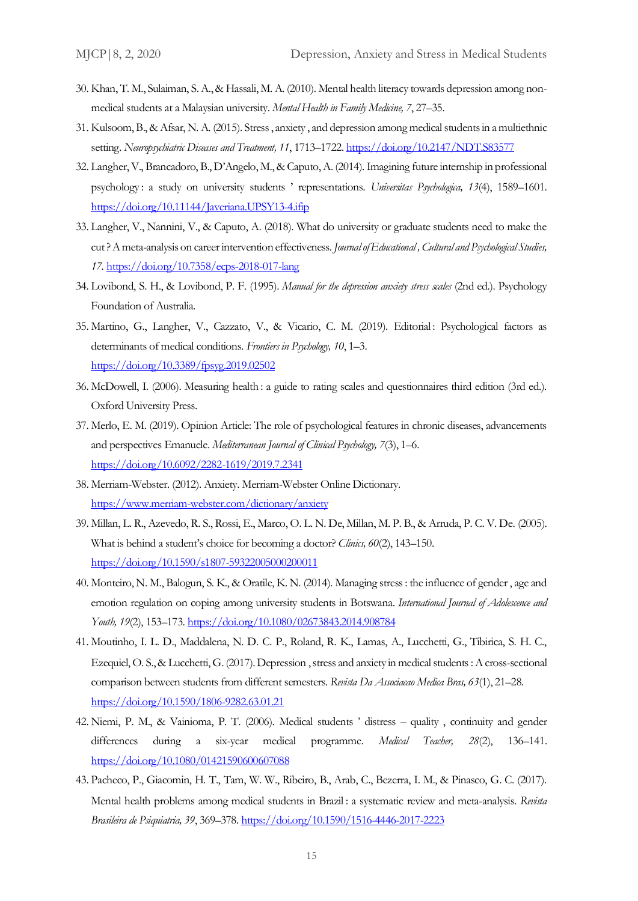- 30. Khan, T. M., Sulaiman, S. A., & Hassali, M. A. (2010). Mental health literacy towards depression among nonmedical students at a Malaysian university. *Mental Health in Family Medicine, 7*, 27–35.
- 31. Kulsoom, B., & Afsar, N. A. (2015). Stress , anxiety , and depression among medical students in a multiethnic setting. *Neuropsychiatric Diseases and Treatment, 11*, 1713–1722[. https://doi.org/10.2147/NDT.S83577](https://doi.org/10.2147/NDT.S83577)
- 32. Langher, V., Brancadoro, B., D'Angelo, M., & Caputo, A. (2014). Imagining future internship in professional psychology : a study on university students ' representations. *Universitas Psychologica, 13*(4), 1589–1601. <https://doi.org/10.11144/Javeriana.UPSY13-4.ifip>
- 33. Langher, V., Nannini, V., & Caputo, A. (2018). What do university or graduate students need to make the cut? A meta-analysis on career intervention effectiveness. *Journal of Educational , Cultural and Psychological Studies, 17.* <https://doi.org/10.7358/ecps-2018-017-lang>
- 34. Lovibond, S. H., & Lovibond, P. F. (1995). *Manual for the depression anxiety stress scales* (2nd ed.). Psychology Foundation of Australia.
- 35. Martino, G., Langher, V., Cazzato, V., & Vicario, C. M. (2019). Editorial : Psychological factors as determinants of medical conditions. *Frontiers in Psychology, 10*, 1–3. <https://doi.org/10.3389/fpsyg.2019.02502>
- 36. McDowell, I. (2006). Measuring health : a guide to rating scales and questionnaires third edition (3rd ed.). Oxford University Press.
- 37. Merlo, E. M. (2019). Opinion Article: The role of psychological features in chronic diseases, advancements and perspectives Emanuele. *Mediterranean Journal of Clinical Psychology, 7*(3), 1–6. <https://doi.org/10.6092/2282-1619/2019.7.2341>
- 38. Merriam-Webster. (2012). Anxiety. Merriam-Webster Online Dictionary. <https://www.merriam-webster.com/dictionary/anxiety>
- 39. Millan, L. R., Azevedo, R. S., Rossi, E., Marco, O. L. N. De, Millan, M. P. B., & Arruda, P. C. V. De. (2005). What is behind a student's choice for becoming a doctor? *Clinics, 60*(2), 143–150. <https://doi.org/10.1590/s1807-59322005000200011>
- 40. Monteiro, N. M., Balogun, S. K., & Oratile, K. N. (2014). Managing stress: the influence of gender , age and emotion regulation on coping among university students in Botswana. *International Journal of Adolescence and Youth, 19*(2), 153–173.<https://doi.org/10.1080/02673843.2014.908784>
- 41. Moutinho, I. L. D., Maddalena, N. D. C. P., Roland, R. K., Lamas, A., Lucchetti, G., Tibirica, S. H. C., Ezequiel, O. S., & Lucchetti, G. (2017). Depression , stress and anxiety in medical students: A cross-sectional comparison between students from different semesters. *Revista Da Associacao Medica Bras, 63*(1), 21–28. <https://doi.org/10.1590/1806-9282.63.01.21>
- 42. Niemi, P. M., & Vainioma, P. T. (2006). Medical students ' distress quality , continuity and gender differences during a six-year medical programme. *Medical Teacher, 28*(2), 136–141. <https://doi.org/10.1080/01421590600607088>
- 43. Pacheco, P., Giacomin, H. T., Tam, W. W., Ribeiro, B., Arab, C., Bezerra, I. M., & Pinasco, G. C. (2017). Mental health problems among medical students in Brazil : a systematic review and meta-analysis. *Revista Brasileira de Psiquiatria, 39*, 369–378[. https://doi.org/10.1590/1516-4446-2017-2223](https://doi.org/10.1590/1516-4446-2017-2223)